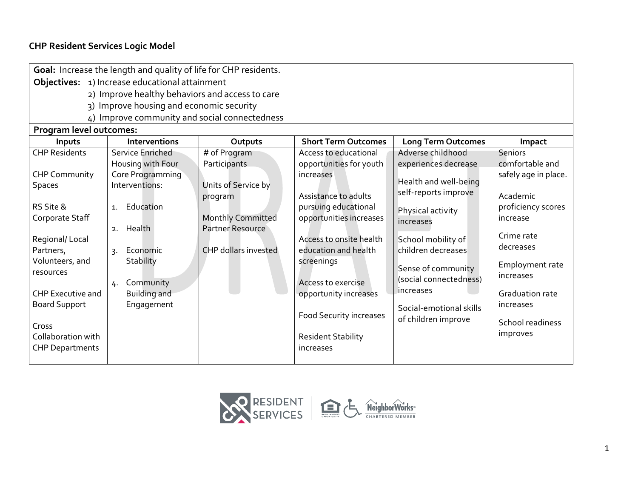# **CHP Resident Services Logic Model**

| Goal: Increase the length and quality of life for CHP residents. |                                                                         |                                                                                 |                                                                                                                            |                                                                            |                                                                       |  |
|------------------------------------------------------------------|-------------------------------------------------------------------------|---------------------------------------------------------------------------------|----------------------------------------------------------------------------------------------------------------------------|----------------------------------------------------------------------------|-----------------------------------------------------------------------|--|
| Objectives: 1) Increase educational attainment                   |                                                                         |                                                                                 |                                                                                                                            |                                                                            |                                                                       |  |
| 2) Improve healthy behaviors and access to care                  |                                                                         |                                                                                 |                                                                                                                            |                                                                            |                                                                       |  |
|                                                                  | 3) Improve housing and economic security                                |                                                                                 |                                                                                                                            |                                                                            |                                                                       |  |
|                                                                  | 4) Improve community and social connectedness                           |                                                                                 |                                                                                                                            |                                                                            |                                                                       |  |
| Program level outcomes:                                          |                                                                         |                                                                                 |                                                                                                                            |                                                                            |                                                                       |  |
| Inputs                                                           | <b>Interventions</b>                                                    | Outputs                                                                         | <b>Short Term Outcomes</b>                                                                                                 | <b>Long Term Outcomes</b>                                                  | Impact                                                                |  |
| <b>CHP Residents</b>                                             | Service Enriched                                                        | # of Program                                                                    | Access to educational                                                                                                      | Adverse childhood                                                          | <b>Seniors</b>                                                        |  |
|                                                                  | Housing with Four                                                       | Participants                                                                    | opportunities for youth                                                                                                    | experiences decrease                                                       | comfortable and                                                       |  |
| <b>CHP Community</b>                                             | Core Programming                                                        |                                                                                 | increases                                                                                                                  | Health and well-being                                                      | safely age in place.                                                  |  |
| <b>Spaces</b>                                                    | Interventions:                                                          | Units of Service by                                                             |                                                                                                                            | self-reports improve                                                       |                                                                       |  |
| RS Site &<br>Corporate Staff<br>Regional/Local<br>Partners,      | Education<br>$\mathbf{1}$ .<br>2. Health<br>Economic<br>$\mathcal{R}$ . | program<br><b>Monthly Committed</b><br>Partner Resource<br>CHP dollars invested | Assistance to adults<br>pursuing educational<br>opportunities increases<br>Access to onsite health<br>education and health | Physical activity<br>increases<br>School mobility of<br>children decreases | Academic<br>proficiency scores<br>increase<br>Crime rate<br>decreases |  |
| Volunteers, and<br>resources<br><b>CHP Executive and</b>         | Stability<br>Community<br>4.<br><b>Building and</b>                     |                                                                                 | screenings<br>Access to exercise<br>opportunity increases                                                                  | Sense of community<br>(social connectedness)<br>increases                  | Employment rate<br>increases<br>Graduation rate                       |  |
| <b>Board Support</b><br>Cross<br>Collaboration with              | Engagement                                                              |                                                                                 | <b>Food Security increases</b><br><b>Resident Stability</b>                                                                | Social-emotional skills<br>of children improve                             | increases<br>School readiness<br>improves                             |  |
| <b>CHP Departments</b>                                           |                                                                         |                                                                                 | increases                                                                                                                  |                                                                            |                                                                       |  |

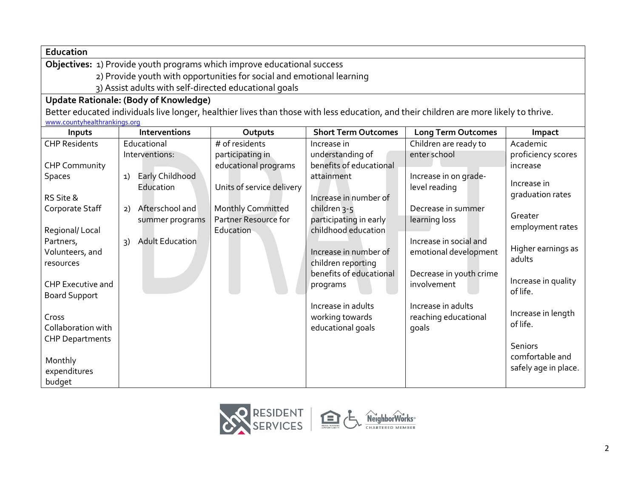**Education**

**Objectives:** 1) Provide youth programs which improve educational success

2) Provide youth with opportunities for social and emotional learning

3) Assist adults with self-directed educational goals

## **Update Rationale: (Body of Knowledge)**

Better educated individuals live longer, healthier lives than those with less education, and their children are more likely to thrive. [www.countyhealthrankings.org](http://www.countyhealthrankings.org/)

| Inputs                   |               | <b>Interventions</b>   | Outputs                   | <b>Short Term Outcomes</b> | <b>Long Term Outcomes</b> | Impact               |
|--------------------------|---------------|------------------------|---------------------------|----------------------------|---------------------------|----------------------|
| <b>CHP Residents</b>     |               | Educational            | # of residents            | Increase in                | Children are ready to     | Academic             |
|                          |               | Interventions:         | participating in          | understanding of           | enter school              | proficiency scores   |
| <b>CHP Community</b>     |               |                        | educational programs      | benefits of educational    |                           | increase             |
| <b>Spaces</b>            | 1)            | Early Childhood        |                           | attainment                 | Increase in on grade-     |                      |
|                          |               | Education              | Units of service delivery |                            | level reading             | Increase in          |
| RS Site &                |               |                        |                           | Increase in number of      |                           | graduation rates     |
| Corporate Staff          | 2)            | Afterschool and        | <b>Monthly Committed</b>  | children <sub>3-5</sub>    | Decrease in summer        | Greater              |
|                          |               | summer programs        | Partner Resource for      | participating in early     | learning loss             | employment rates     |
| Regional/Local           |               |                        | Education                 | childhood education        |                           |                      |
| Partners,                | $\mathcal{E}$ | <b>Adult Education</b> |                           |                            | Increase in social and    | Higher earnings as   |
| Volunteers, and          |               |                        |                           | Increase in number of      | emotional development     | adults               |
| resources                |               |                        |                           | children reporting         |                           |                      |
|                          |               |                        |                           | benefits of educational    | Decrease in youth crime   | Increase in quality  |
| <b>CHP Executive and</b> |               |                        |                           | programs                   | involvement               | of life.             |
| <b>Board Support</b>     |               |                        |                           |                            |                           |                      |
|                          |               |                        |                           | Increase in adults         | Increase in adults        | Increase in length   |
| Cross                    |               |                        |                           | working towards            | reaching educational      | of life.             |
| Collaboration with       |               |                        |                           | educational goals          | goals                     |                      |
| <b>CHP Departments</b>   |               |                        |                           |                            |                           | <b>Seniors</b>       |
|                          |               |                        |                           |                            |                           | comfortable and      |
| Monthly                  |               |                        |                           |                            |                           | safely age in place. |
| expenditures             |               |                        |                           |                            |                           |                      |
| budget                   |               |                        |                           |                            |                           |                      |



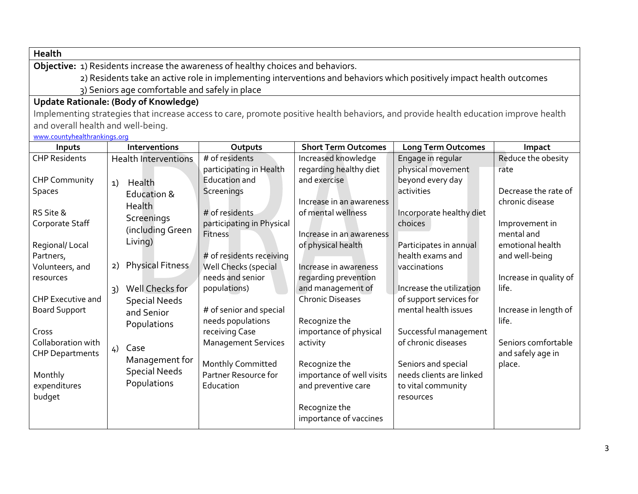**Health**

**Objective:** 1) Residents increase the awareness of healthy choices and behaviors.

 2) Residents take an active role in implementing interventions and behaviors which positively impact health outcomes 3) Seniors age comfortable and safely in place

### **Update Rationale: (Body of Knowledge)**

Implementing strategies that increase access to care, promote positive health behaviors, and provide health education improve health and overall health and well-being.

[www.countyhealthrankings](http://www.countyhealthrankings.org/).org

| Inputs                                       | <b>Interventions</b>               | Outputs                                     | <b>Short Term Outcomes</b>                     | <b>Long Term Outcomes</b>           | Impact                                   |
|----------------------------------------------|------------------------------------|---------------------------------------------|------------------------------------------------|-------------------------------------|------------------------------------------|
| <b>CHP Residents</b>                         | <b>Health Interventions</b>        | # of residents                              | Increased knowledge                            | Engage in regular                   | Reduce the obesity                       |
|                                              |                                    | participating in Health                     | regarding healthy diet                         | physical movement                   | rate                                     |
| <b>CHP Community</b>                         | Health<br>1)                       | Education and                               | and exercise                                   | beyond every day                    |                                          |
| <b>Spaces</b>                                | Education &                        | Screenings                                  |                                                | activities                          | Decrease the rate of                     |
| RS Site &                                    | <b>Health</b><br>Screenings        | # of residents                              | Increase in an awareness<br>of mental wellness | Incorporate healthy diet<br>choices | chronic disease                          |
| Corporate Staff                              | (including Green                   | participating in Physical<br><b>Fitness</b> | Increase in an awareness                       |                                     | Improvement in<br>mental and             |
| Regional/Local                               | Living)                            |                                             | of physical health                             | Participates in annual              | emotional health                         |
| Partners,                                    |                                    | # of residents receiving                    |                                                | health exams and                    | and well-being                           |
| Volunteers, and<br>resources                 | Physical Fitness<br>2)             | Well Checks (special<br>needs and senior    | Increase in awareness                          | vaccinations                        | Increase in quality of                   |
|                                              | Well Checks for                    | populations)                                | regarding prevention<br>and management of      | Increase the utilization            | life.                                    |
| <b>CHP Executive and</b>                     | 3)                                 |                                             | <b>Chronic Diseases</b>                        | of support services for             |                                          |
| <b>Board Support</b>                         | <b>Special Needs</b><br>and Senior | # of senior and special                     |                                                | mental health issues                | Increase in length of                    |
|                                              | Populations                        | needs populations                           | Recognize the                                  |                                     | life.                                    |
| Cross                                        |                                    | receiving Case                              | importance of physical                         | Successful management               |                                          |
| Collaboration with<br><b>CHP Departments</b> | Case<br>4)                         | <b>Management Services</b>                  | activity                                       | of chronic diseases                 | Seniors comfortable<br>and safely age in |
|                                              | Management for                     | Monthly Committed                           | Recognize the                                  | Seniors and special                 | place.                                   |
| Monthly                                      | <b>Special Needs</b>               | Partner Resource for                        | importance of well visits                      | needs clients are linked            |                                          |
| expenditures                                 | Populations                        | Education                                   | and preventive care                            | to vital community                  |                                          |
| budget                                       |                                    |                                             |                                                | resources                           |                                          |
|                                              |                                    |                                             | Recognize the<br>importance of vaccines        |                                     |                                          |
|                                              |                                    |                                             |                                                |                                     |                                          |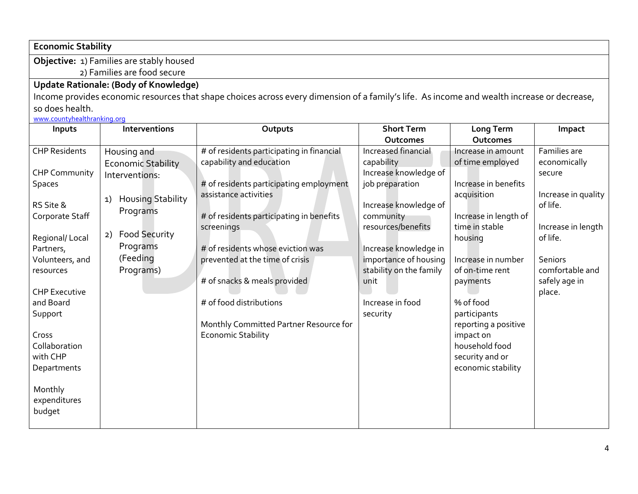**Economic Stability**

**Objective:** 1) Families are stably housed

2) Families are food secure

# **Update Rationale: (Body of Knowledge)**

Income provides economic resources that shape choices across every dimension of a family's life. As income and wealth increase or decrease, so does health.

[www.countyhealthranking.org](http://www.countyhealthranking.org/)

| Inputs                      | Interventions                  | Outputs                                   | <b>Short Term</b>       | Long Term             | Impact              |
|-----------------------------|--------------------------------|-------------------------------------------|-------------------------|-----------------------|---------------------|
|                             |                                |                                           | Outcomes                | Outcomes              |                     |
| <b>CHP Residents</b>        | Housing and                    | # of residents participating in financial | Increased financial     | Increase in amount    | Families are        |
|                             | <b>Economic Stability</b>      | capability and education                  | capability              | of time employed      | economically        |
| <b>CHP Community</b>        | Interventions:                 |                                           | Increase knowledge of   |                       | secure              |
| Spaces                      |                                | # of residents participating employment   | job preparation         | Increase in benefits  |                     |
|                             | <b>Housing Stability</b><br>1) | assistance activities                     |                         | acquisition           | Increase in quality |
| RS Site &                   | Programs                       |                                           | Increase knowledge of   |                       | of life.            |
| Corporate Staff             |                                | # of residents participating in benefits  | community               | Increase in length of |                     |
|                             | <b>Food Security</b><br>2)     | screenings                                | resources/benefits      | time in stable        | Increase in length  |
| Regional/Local<br>Partners, | Programs                       | # of residents whose eviction was         | Increase knowledge in   | housing               | of life.            |
| Volunteers, and             | (Feeding                       | prevented at the time of crisis           | importance of housing   | Increase in number    | <b>Seniors</b>      |
| resources                   | Programs)                      |                                           | stability on the family | of on-time rent       | comfortable and     |
|                             |                                | # of snacks & meals provided              | unit                    | payments              | safely age in       |
| <b>CHP Executive</b>        |                                |                                           |                         |                       | place.              |
| and Board                   |                                | # of food distributions                   | Increase in food        | % of food             |                     |
| Support                     |                                |                                           | security                | participants          |                     |
|                             |                                | Monthly Committed Partner Resource for    |                         | reporting a positive  |                     |
| Cross                       |                                | <b>Economic Stability</b>                 |                         | impact on             |                     |
| Collaboration               |                                |                                           |                         | household food        |                     |
| with CHP                    |                                |                                           |                         | security and or       |                     |
| Departments                 |                                |                                           |                         | economic stability    |                     |
|                             |                                |                                           |                         |                       |                     |
| Monthly                     |                                |                                           |                         |                       |                     |
| expenditures                |                                |                                           |                         |                       |                     |
| budget                      |                                |                                           |                         |                       |                     |
|                             |                                |                                           |                         |                       |                     |